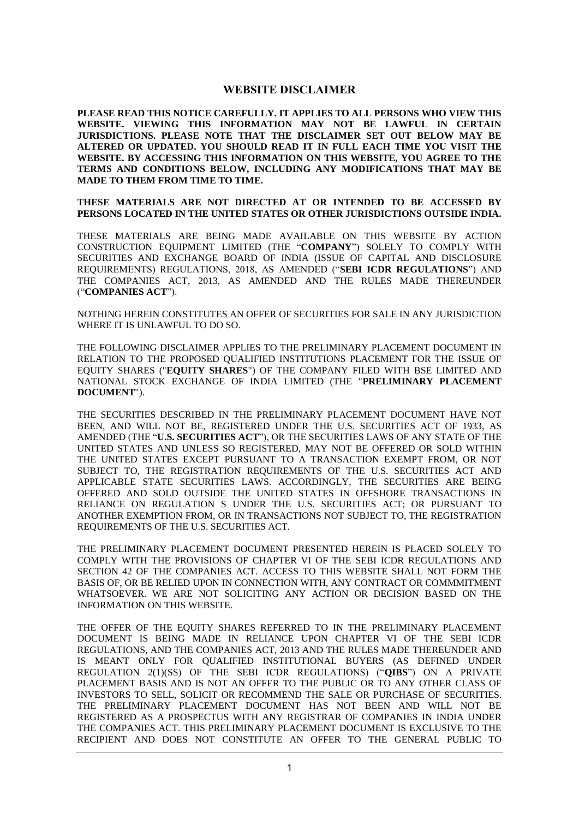## **WEBSITE DISCLAIMER**

**PLEASE READ THIS NOTICE CAREFULLY. IT APPLIES TO ALL PERSONS WHO VIEW THIS WEBSITE. VIEWING THIS INFORMATION MAY NOT BE LAWFUL IN CERTAIN JURISDICTIONS. PLEASE NOTE THAT THE DISCLAIMER SET OUT BELOW MAY BE ALTERED OR UPDATED. YOU SHOULD READ IT IN FULL EACH TIME YOU VISIT THE WEBSITE. BY ACCESSING THIS INFORMATION ON THIS WEBSITE, YOU AGREE TO THE TERMS AND CONDITIONS BELOW, INCLUDING ANY MODIFICATIONS THAT MAY BE MADE TO THEM FROM TIME TO TIME.**

**THESE MATERIALS ARE NOT DIRECTED AT OR INTENDED TO BE ACCESSED BY PERSONS LOCATED IN THE UNITED STATES OR OTHER JURISDICTIONS OUTSIDE INDIA.** 

THESE MATERIALS ARE BEING MADE AVAILABLE ON THIS WEBSITE BY ACTION CONSTRUCTION EQUIPMENT LIMITED (THE "**COMPANY**") SOLELY TO COMPLY WITH SECURITIES AND EXCHANGE BOARD OF INDIA (ISSUE OF CAPITAL AND DISCLOSURE REQUIREMENTS) REGULATIONS, 2018, AS AMENDED ("**SEBI ICDR REGULATIONS**") AND THE COMPANIES ACT, 2013, AS AMENDED AND THE RULES MADE THEREUNDER ("**COMPANIES ACT**").

NOTHING HEREIN CONSTITUTES AN OFFER OF SECURITIES FOR SALE IN ANY JURISDICTION WHERE IT IS UNLAWFUL TO DO SO.

THE FOLLOWING DISCLAIMER APPLIES TO THE PRELIMINARY PLACEMENT DOCUMENT IN RELATION TO THE PROPOSED QUALIFIED INSTITUTIONS PLACEMENT FOR THE ISSUE OF EQUITY SHARES ("**EQUITY SHARES**") OF THE COMPANY FILED WITH BSE LIMITED AND NATIONAL STOCK EXCHANGE OF INDIA LIMITED (THE "**PRELIMINARY PLACEMENT DOCUMENT**").

THE SECURITIES DESCRIBED IN THE PRELIMINARY PLACEMENT DOCUMENT HAVE NOT BEEN, AND WILL NOT BE, REGISTERED UNDER THE U.S. SECURITIES ACT OF 1933, AS AMENDED (THE "**U.S. SECURITIES ACT**"), OR THE SECURITIES LAWS OF ANY STATE OF THE UNITED STATES AND UNLESS SO REGISTERED, MAY NOT BE OFFERED OR SOLD WITHIN THE UNITED STATES EXCEPT PURSUANT TO A TRANSACTION EXEMPT FROM, OR NOT SUBJECT TO, THE REGISTRATION REQUIREMENTS OF THE U.S. SECURITIES ACT AND APPLICABLE STATE SECURITIES LAWS. ACCORDINGLY, THE SECURITIES ARE BEING OFFERED AND SOLD OUTSIDE THE UNITED STATES IN OFFSHORE TRANSACTIONS IN RELIANCE ON REGULATION S UNDER THE U.S. SECURITIES ACT; OR PURSUANT TO ANOTHER EXEMPTION FROM, OR IN TRANSACTIONS NOT SUBJECT TO, THE REGISTRATION REQUIREMENTS OF THE U.S. SECURITIES ACT.

THE PRELIMINARY PLACEMENT DOCUMENT PRESENTED HEREIN IS PLACED SOLELY TO COMPLY WITH THE PROVISIONS OF CHAPTER VI OF THE SEBI ICDR REGULATIONS AND SECTION 42 OF THE COMPANIES ACT. ACCESS TO THIS WEBSITE SHALL NOT FORM THE BASIS OF, OR BE RELIED UPON IN CONNECTION WITH, ANY CONTRACT OR COMMMITMENT WHATSOEVER. WE ARE NOT SOLICITING ANY ACTION OR DECISION BASED ON THE INFORMATION ON THIS WEBSITE.

THE OFFER OF THE EQUITY SHARES REFERRED TO IN THE PRELIMINARY PLACEMENT DOCUMENT IS BEING MADE IN RELIANCE UPON CHAPTER VI OF THE SEBI ICDR REGULATIONS, AND THE COMPANIES ACT, 2013 AND THE RULES MADE THEREUNDER AND IS MEANT ONLY FOR QUALIFIED INSTITUTIONAL BUYERS (AS DEFINED UNDER REGULATION 2(1)(SS) OF THE SEBI ICDR REGULATIONS) ("**QIBS**") ON A PRIVATE PLACEMENT BASIS AND IS NOT AN OFFER TO THE PUBLIC OR TO ANY OTHER CLASS OF INVESTORS TO SELL, SOLICIT OR RECOMMEND THE SALE OR PURCHASE OF SECURITIES. THE PRELIMINARY PLACEMENT DOCUMENT HAS NOT BEEN AND WILL NOT BE REGISTERED AS A PROSPECTUS WITH ANY REGISTRAR OF COMPANIES IN INDIA UNDER THE COMPANIES ACT. THIS PRELIMINARY PLACEMENT DOCUMENT IS EXCLUSIVE TO THE RECIPIENT AND DOES NOT CONSTITUTE AN OFFER TO THE GENERAL PUBLIC TO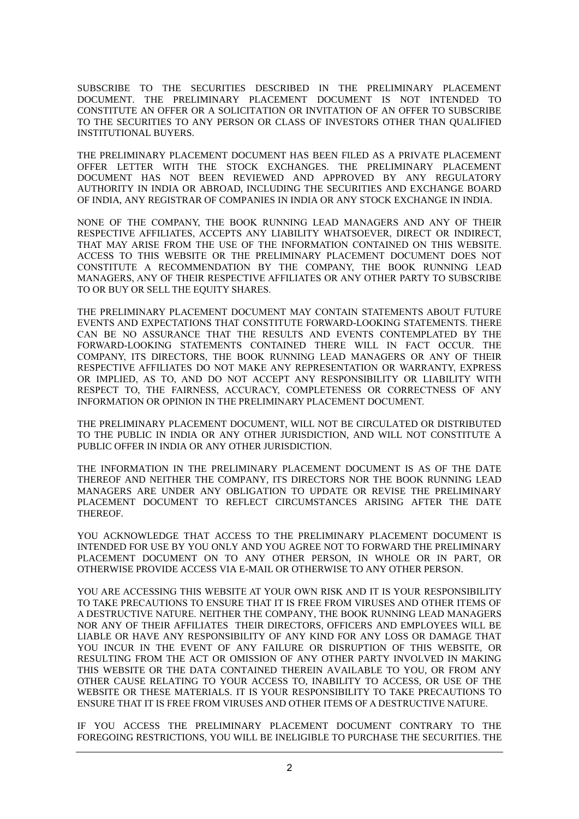SUBSCRIBE TO THE SECURITIES DESCRIBED IN THE PRELIMINARY PLACEMENT DOCUMENT. THE PRELIMINARY PLACEMENT DOCUMENT IS NOT INTENDED TO CONSTITUTE AN OFFER OR A SOLICITATION OR INVITATION OF AN OFFER TO SUBSCRIBE TO THE SECURITIES TO ANY PERSON OR CLASS OF INVESTORS OTHER THAN QUALIFIED INSTITUTIONAL BUYERS.

THE PRELIMINARY PLACEMENT DOCUMENT HAS BEEN FILED AS A PRIVATE PLACEMENT OFFER LETTER WITH THE STOCK EXCHANGES. THE PRELIMINARY PLACEMENT DOCUMENT HAS NOT BEEN REVIEWED AND APPROVED BY ANY REGULATORY AUTHORITY IN INDIA OR ABROAD, INCLUDING THE SECURITIES AND EXCHANGE BOARD OF INDIA, ANY REGISTRAR OF COMPANIES IN INDIA OR ANY STOCK EXCHANGE IN INDIA.

NONE OF THE COMPANY, THE BOOK RUNNING LEAD MANAGERS AND ANY OF THEIR RESPECTIVE AFFILIATES, ACCEPTS ANY LIABILITY WHATSOEVER, DIRECT OR INDIRECT, THAT MAY ARISE FROM THE USE OF THE INFORMATION CONTAINED ON THIS WEBSITE. ACCESS TO THIS WEBSITE OR THE PRELIMINARY PLACEMENT DOCUMENT DOES NOT CONSTITUTE A RECOMMENDATION BY THE COMPANY, THE BOOK RUNNING LEAD MANAGERS, ANY OF THEIR RESPECTIVE AFFILIATES OR ANY OTHER PARTY TO SUBSCRIBE TO OR BUY OR SELL THE EQUITY SHARES.

THE PRELIMINARY PLACEMENT DOCUMENT MAY CONTAIN STATEMENTS ABOUT FUTURE EVENTS AND EXPECTATIONS THAT CONSTITUTE FORWARD-LOOKING STATEMENTS. THERE CAN BE NO ASSURANCE THAT THE RESULTS AND EVENTS CONTEMPLATED BY THE FORWARD-LOOKING STATEMENTS CONTAINED THERE WILL IN FACT OCCUR. THE COMPANY, ITS DIRECTORS, THE BOOK RUNNING LEAD MANAGERS OR ANY OF THEIR RESPECTIVE AFFILIATES DO NOT MAKE ANY REPRESENTATION OR WARRANTY, EXPRESS OR IMPLIED, AS TO, AND DO NOT ACCEPT ANY RESPONSIBILITY OR LIABILITY WITH RESPECT TO, THE FAIRNESS, ACCURACY, COMPLETENESS OR CORRECTNESS OF ANY INFORMATION OR OPINION IN THE PRELIMINARY PLACEMENT DOCUMENT.

THE PRELIMINARY PLACEMENT DOCUMENT, WILL NOT BE CIRCULATED OR DISTRIBUTED TO THE PUBLIC IN INDIA OR ANY OTHER JURISDICTION, AND WILL NOT CONSTITUTE A PUBLIC OFFER IN INDIA OR ANY OTHER JURISDICTION.

THE INFORMATION IN THE PRELIMINARY PLACEMENT DOCUMENT IS AS OF THE DATE THEREOF AND NEITHER THE COMPANY, ITS DIRECTORS NOR THE BOOK RUNNING LEAD MANAGERS ARE UNDER ANY OBLIGATION TO UPDATE OR REVISE THE PRELIMINARY PLACEMENT DOCUMENT TO REFLECT CIRCUMSTANCES ARISING AFTER THE DATE THEREOF.

YOU ACKNOWLEDGE THAT ACCESS TO THE PRELIMINARY PLACEMENT DOCUMENT IS INTENDED FOR USE BY YOU ONLY AND YOU AGREE NOT TO FORWARD THE PRELIMINARY PLACEMENT DOCUMENT ON TO ANY OTHER PERSON, IN WHOLE OR IN PART, OR OTHERWISE PROVIDE ACCESS VIA E-MAIL OR OTHERWISE TO ANY OTHER PERSON.

YOU ARE ACCESSING THIS WEBSITE AT YOUR OWN RISK AND IT IS YOUR RESPONSIBILITY TO TAKE PRECAUTIONS TO ENSURE THAT IT IS FREE FROM VIRUSES AND OTHER ITEMS OF A DESTRUCTIVE NATURE. NEITHER THE COMPANY, THE BOOK RUNNING LEAD MANAGERS NOR ANY OF THEIR AFFILIATES THEIR DIRECTORS, OFFICERS AND EMPLOYEES WILL BE LIABLE OR HAVE ANY RESPONSIBILITY OF ANY KIND FOR ANY LOSS OR DAMAGE THAT YOU INCUR IN THE EVENT OF ANY FAILURE OR DISRUPTION OF THIS WEBSITE. OR RESULTING FROM THE ACT OR OMISSION OF ANY OTHER PARTY INVOLVED IN MAKING THIS WEBSITE OR THE DATA CONTAINED THEREIN AVAILABLE TO YOU, OR FROM ANY OTHER CAUSE RELATING TO YOUR ACCESS TO, INABILITY TO ACCESS, OR USE OF THE WEBSITE OR THESE MATERIALS. IT IS YOUR RESPONSIBILITY TO TAKE PRECAUTIONS TO ENSURE THAT IT IS FREE FROM VIRUSES AND OTHER ITEMS OF A DESTRUCTIVE NATURE.

IF YOU ACCESS THE PRELIMINARY PLACEMENT DOCUMENT CONTRARY TO THE FOREGOING RESTRICTIONS, YOU WILL BE INELIGIBLE TO PURCHASE THE SECURITIES. THE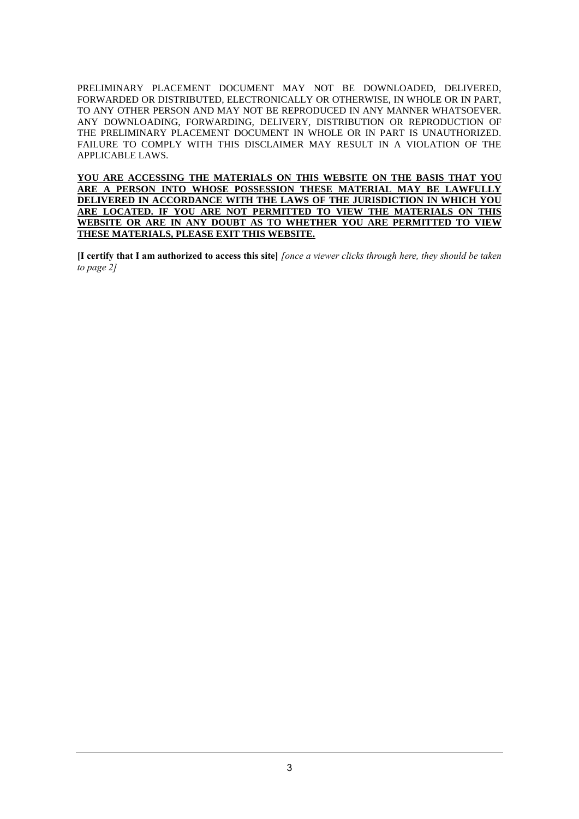PRELIMINARY PLACEMENT DOCUMENT MAY NOT BE DOWNLOADED, DELIVERED, FORWARDED OR DISTRIBUTED, ELECTRONICALLY OR OTHERWISE, IN WHOLE OR IN PART, TO ANY OTHER PERSON AND MAY NOT BE REPRODUCED IN ANY MANNER WHATSOEVER. ANY DOWNLOADING, FORWARDING, DELIVERY, DISTRIBUTION OR REPRODUCTION OF THE PRELIMINARY PLACEMENT DOCUMENT IN WHOLE OR IN PART IS UNAUTHORIZED. FAILURE TO COMPLY WITH THIS DISCLAIMER MAY RESULT IN A VIOLATION OF THE APPLICABLE LAWS.

**YOU ARE ACCESSING THE MATERIALS ON THIS WEBSITE ON THE BASIS THAT YOU ARE A PERSON INTO WHOSE POSSESSION THESE MATERIAL MAY BE LAWFULLY DELIVERED IN ACCORDANCE WITH THE LAWS OF THE JURISDICTION IN WHICH YOU ARE LOCATED. IF YOU ARE NOT PERMITTED TO VIEW THE MATERIALS ON THIS WEBSITE OR ARE IN ANY DOUBT AS TO WHETHER YOU ARE PERMITTED TO VIEW THESE MATERIALS, PLEASE EXIT THIS WEBSITE.**

**[I certify that I am authorized to access this site]** *[once a viewer clicks through here, they should be taken to page 2]*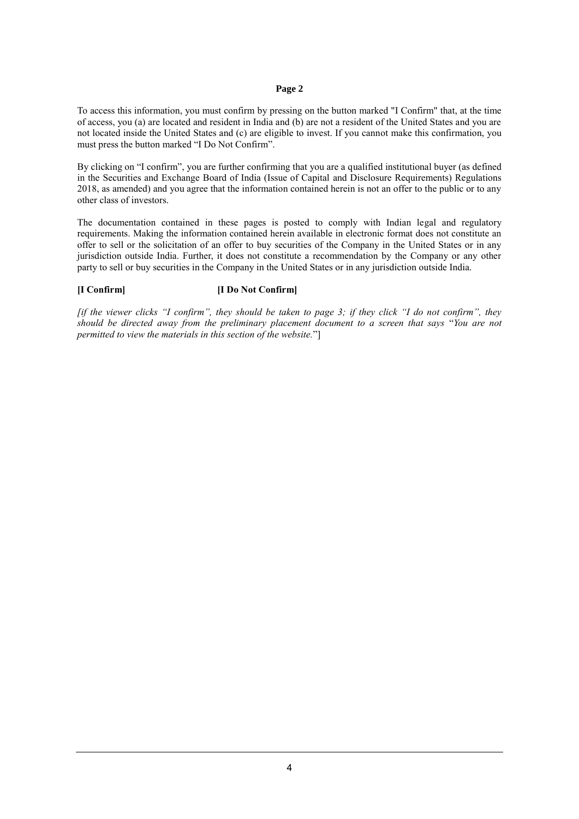#### **Page 2**

To access this information, you must confirm by pressing on the button marked "I Confirm" that, at the time of access, you (a) are located and resident in India and (b) are not a resident of the United States and you are not located inside the United States and (c) are eligible to invest. If you cannot make this confirmation, you must press the button marked "I Do Not Confirm".

By clicking on "I confirm", you are further confirming that you are a qualified institutional buyer (as defined in the Securities and Exchange Board of India (Issue of Capital and Disclosure Requirements) Regulations 2018, as amended) and you agree that the information contained herein is not an offer to the public or to any other class of investors.

The documentation contained in these pages is posted to comply with Indian legal and regulatory requirements. Making the information contained herein available in electronic format does not constitute an offer to sell or the solicitation of an offer to buy securities of the Company in the United States or in any jurisdiction outside India. Further, it does not constitute a recommendation by the Company or any other party to sell or buy securities in the Company in the United States or in any jurisdiction outside India.

#### **[I Confirm] [I Do Not Confirm]**

*[if the viewer clicks "I confirm", they should be taken to page 3; if they click "I do not confirm", they should be directed away from the preliminary placement document to a screen that says* "*You are not permitted to view the materials in this section of the website.*"]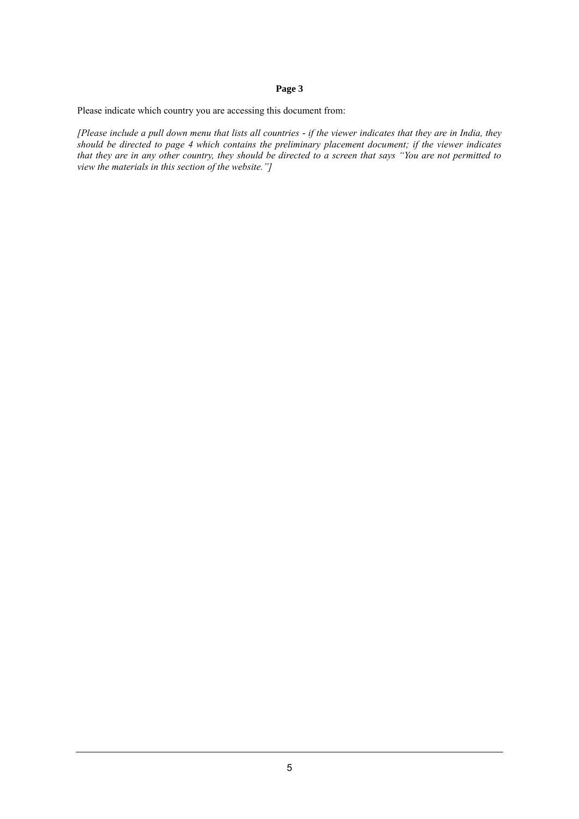### **Page 3**

Please indicate which country you are accessing this document from:

*[Please include a pull down menu that lists all countries - if the viewer indicates that they are in India, they should be directed to page 4 which contains the preliminary placement document; if the viewer indicates that they are in any other country, they should be directed to a screen that says "You are not permitted to view the materials in this section of the website."]*